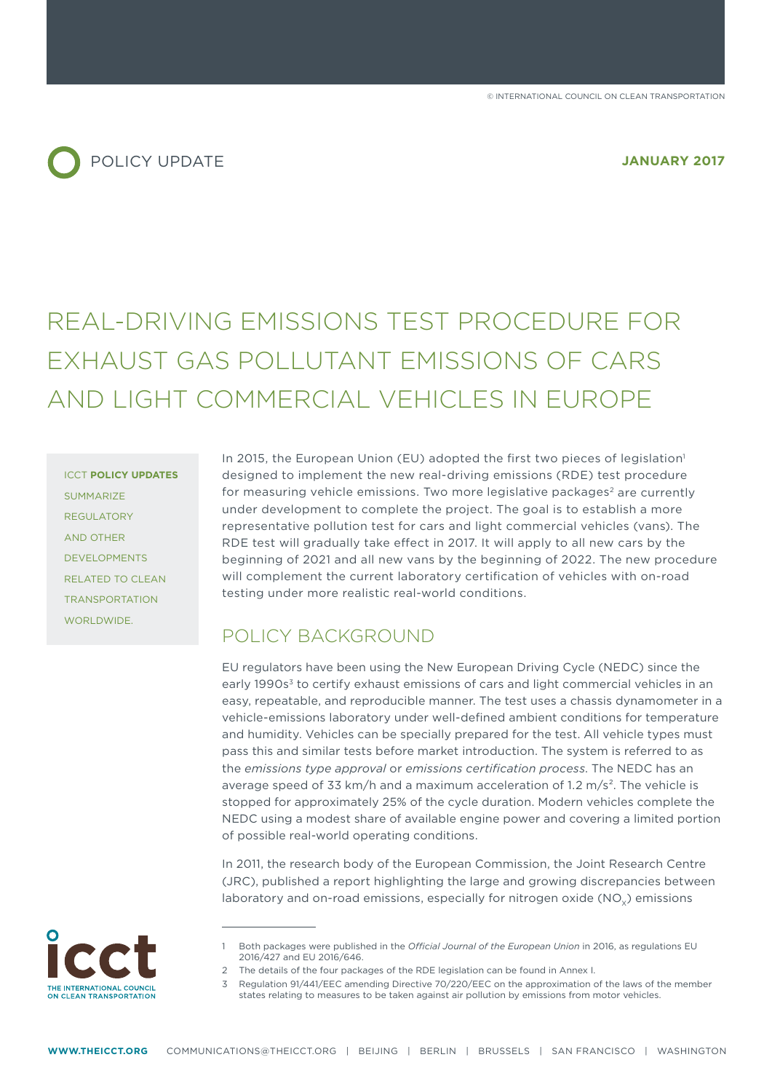

# REAL-DRIVING EMISSIONS TEST PROCEDURE FOR EXHAUST GAS POLLUTANT EMISSIONS OF CARS AND LIGHT COMMERCIAL VEHICLES IN EUROPE

ICCT **POLICY UPDATES SUMMARIZE** REGULATORY AND OTHER DEVELOPMENTS RELATED TO CLEAN TRANSPORTATION WORLDWIDE.

In 2015, the European Union (EU) adopted the first two pieces of legislation<sup>1</sup> designed to implement the new real-driving emissions (RDE) test procedure for measuring vehicle emissions. Two more legislative packages<sup>2</sup> are currently under development to complete the project. The goal is to establish a more representative pollution test for cars and light commercial vehicles (vans). The RDE test will gradually take effect in 2017. It will apply to all new cars by the beginning of 2021 and all new vans by the beginning of 2022. The new procedure will complement the current laboratory certification of vehicles with on-road testing under more realistic real-world conditions.

# POLICY BACKGROUND

EU regulators have been using the New European Driving Cycle (NEDC) since the early 1990s<sup>3</sup> to certify exhaust emissions of cars and light commercial vehicles in an easy, repeatable, and reproducible manner. The test uses a chassis dynamometer in a vehicle-emissions laboratory under well-defined ambient conditions for temperature and humidity. Vehicles can be specially prepared for the test. All vehicle types must pass this and similar tests before market introduction. The system is referred to as the *emissions type approval* or *emissions certification process*. The NEDC has an average speed of 33 km/h and a maximum acceleration of 1.2 m/s<sup>2</sup>. The vehicle is stopped for approximately 25% of the cycle duration. Modern vehicles complete the NEDC using a modest share of available engine power and covering a limited portion of possible real-world operating conditions.

In 2011, the research body of the European Commission, the Joint Research Centre (JRC), published a report highlighting the large and growing discrepancies between laboratory and on-road emissions, especially for nitrogen oxide  $(NO<sub>v</sub>)$  emissions



<sup>1</sup> Both packages were published in the *Official Journal of the European Union* in 2016, as regulations EU 2016/427 and EU 2016/646.

<sup>2</sup> The details of the four packages of the RDE legislation can be found in Annex I.

<sup>3</sup> Regulation 91/441/EEC amending Directive 70/220/EEC on the approximation of the laws of the member states relating to measures to be taken against air pollution by emissions from motor vehicles.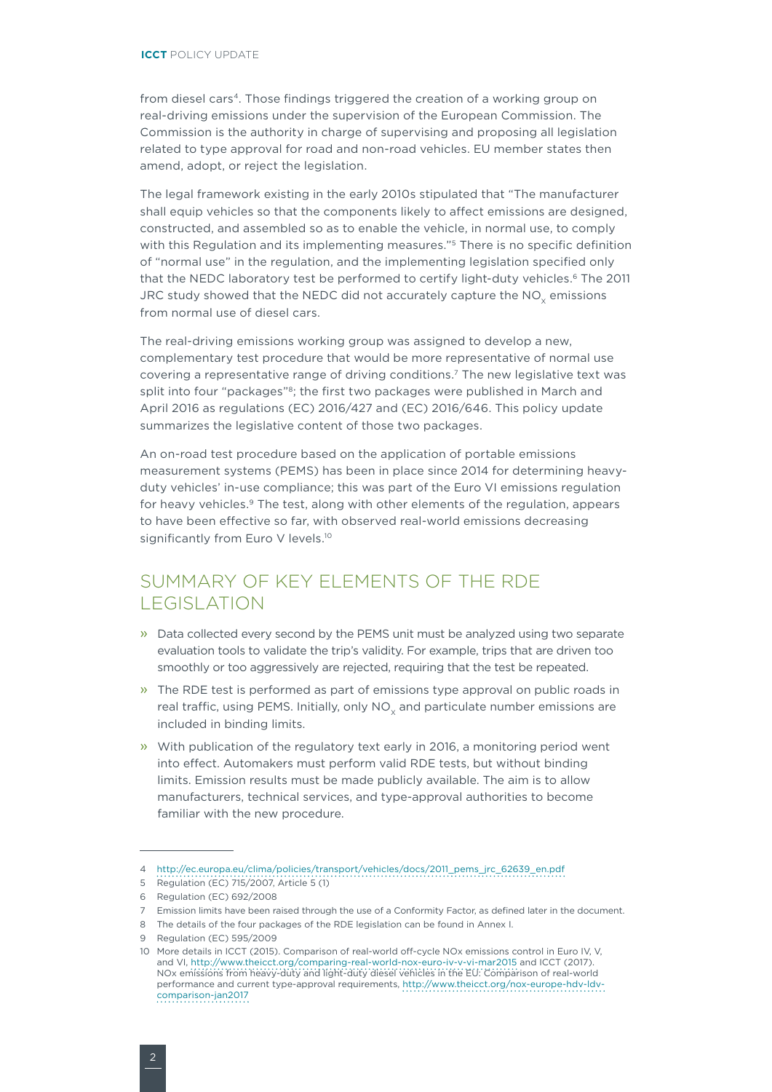from diesel cars<sup>4</sup>. Those findings triggered the creation of a working group on real-driving emissions under the supervision of the European Commission. The Commission is the authority in charge of supervising and proposing all legislation related to type approval for road and non-road vehicles. EU member states then amend, adopt, or reject the legislation.

The legal framework existing in the early 2010s stipulated that "The manufacturer shall equip vehicles so that the components likely to affect emissions are designed, constructed, and assembled so as to enable the vehicle, in normal use, to comply with this Regulation and its implementing measures."<sup>5</sup> There is no specific definition of "normal use" in the regulation, and the implementing legislation specified only that the NEDC laboratory test be performed to certify light-duty vehicles.<sup>6</sup> The 2011 JRC study showed that the NEDC did not accurately capture the  $NO<sub>v</sub>$  emissions from normal use of diesel cars.

The real-driving emissions working group was assigned to develop a new, complementary test procedure that would be more representative of normal use covering a representative range of driving conditions.7 The new legislative text was split into four "packages"<sup>8</sup>; the first two packages were published in March and April 2016 as regulations (EC) 2016/427 and (EC) 2016/646. This policy update summarizes the legislative content of those two packages.

An on-road test procedure based on the application of portable emissions measurement systems (PEMS) has been in place since 2014 for determining heavyduty vehicles' in-use compliance; this was part of the Euro VI emissions regulation for heavy vehicles.<sup>9</sup> The test, along with other elements of the regulation, appears to have been effective so far, with observed real-world emissions decreasing significantly from Euro V levels.<sup>10</sup>

# SUMMARY OF KEY ELEMENTS OF THE RDE LEGISLATION

- » Data collected every second by the PEMS unit must be analyzed using two separate evaluation tools to validate the trip's validity. For example, trips that are driven too smoothly or too aggressively are rejected, requiring that the test be repeated.
- » The RDE test is performed as part of emissions type approval on public roads in real traffic, using PEMS. Initially, only NO<sub>v</sub> and particulate number emissions are included in binding limits.
- » With publication of the regulatory text early in 2016, a monitoring period went into effect. Automakers must perform valid RDE tests, but without binding limits. Emission results must be made publicly available. The aim is to allow manufacturers, technical services, and type-approval authorities to become familiar with the new procedure.

<sup>4</sup> [http://ec.europa.eu/clima/policies/transport/vehicles/docs/2011\\_pems\\_jrc\\_62639\\_en.pdf](http://ec.europa.eu/clima/policies/transport/vehicles/docs/2011_pems_jrc_62639_en.pdf)

<sup>5</sup> Regulation (EC) 715/2007, Article 5 (1)

<sup>6</sup> Regulation (EC) 692/2008

<sup>7</sup> Emission limits have been raised through the use of a Conformity Factor, as defined later in the document.

<sup>8</sup> The details of the four packages of the RDE legislation can be found in Annex I.

<sup>9</sup> Regulation (EC) 595/2009

<sup>10</sup> More details in ICCT (2015). Comparison of real-world off-cycle NOx emissions control in Euro IV, V, and VI,<http://www.theicct.org/comparing-real-world-nox-euro-iv-v-vi-mar2015>and ICCT (2017). NOx emissions from heavy-duty and light-duty diesel vehicles in the EU: Comparison of real-world performance and current type-approval requirements, [http://www.theicct.org/nox-europe-hdv-ldv](http://www.theicct.org/nox-europe-hdv-ldv-comparison-jan2017)[comparison-jan2017](http://www.theicct.org/nox-europe-hdv-ldv-comparison-jan2017)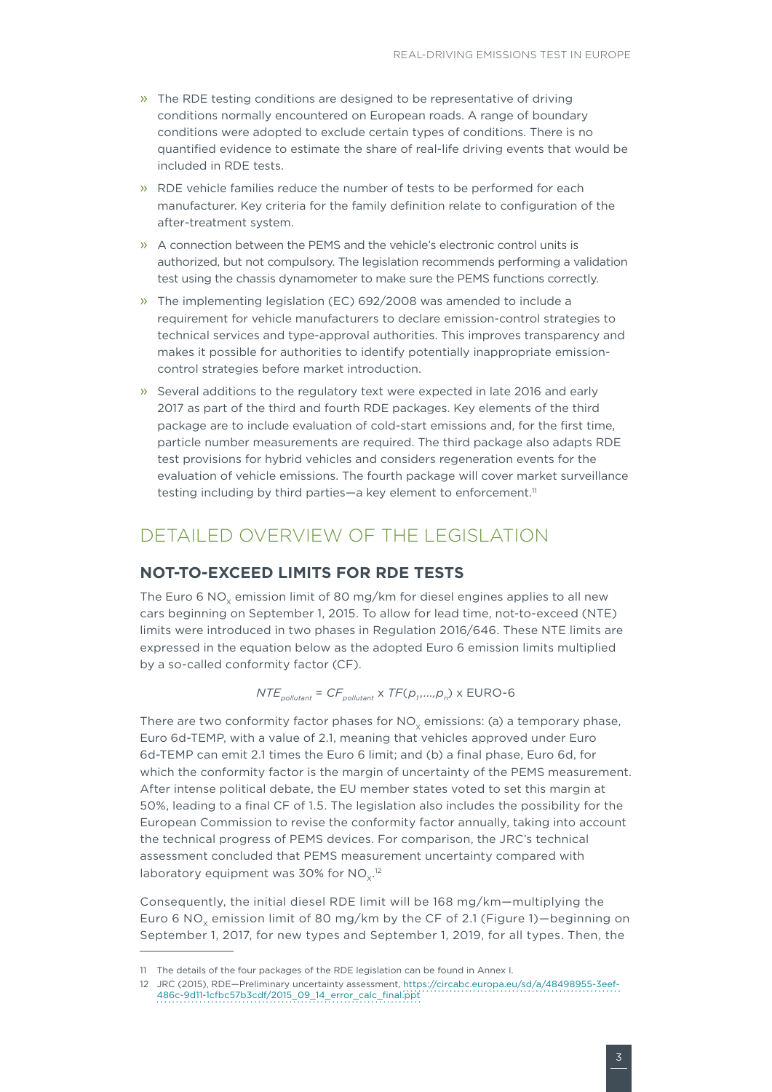- » The RDE testing conditions are designed to be representative of driving conditions normally encountered on European roads. A range of boundary conditions were adopted to exclude certain types of conditions. There is no quantified evidence to estimate the share of real-life driving events that would be included in RDE tests.
- » RDE vehicle families reduce the number of tests to be performed for each manufacturer. Key criteria for the family definition relate to configuration of the after-treatment system.
- $\lambda$  A connection between the PEMS and the vehicle's electronic control units is authorized, but not compulsory. The legislation recommends performing a validation test using the chassis dynamometer to make sure the PEMS functions correctly.
- » The implementing legislation (EC) 692/2008 was amended to include a requirement for vehicle manufacturers to declare emission-control strategies to technical services and type-approval authorities. This improves transparency and makes it possible for authorities to identify potentially inappropriate emissioncontrol strategies before market introduction.
- » Several additions to the regulatory text were expected in late 2016 and early 2017 as part of the third and fourth RDE packages. Key elements of the third package are to include evaluation of cold-start emissions and, for the first time, particle number measurements are required. The third package also adapts RDE test provisions for hybrid vehicles and considers regeneration events for the evaluation of vehicle emissions. The fourth package will cover market surveillance testing including by third parties—a key element to enforcement.<sup>11</sup>

# DETAILED OVERVIEW OF THE LEGISLATION

#### **NOT-TO-EXCEED LIMITS FOR RDE TESTS**

The Euro 6 NO<sub>y</sub> emission limit of 80 mg/km for diesel engines applies to all new cars beginning on September 1, 2015. To allow for lead time, not-to-exceed (NTE) limits were introduced in two phases in Regulation 2016/646. These NTE limits are expressed in the equation below as the adopted Euro 6 emission limits multiplied by a so-called conformity factor (CF).

*NTE*<sub>pollutant</sub> = *CF*<sub>pollutant</sub> x *TF*( $p_1$ ,..., $p_n$ ) x EURO-6

There are two conformity factor phases for  $NO<sub>v</sub>$  emissions: (a) a temporary phase, Euro 6d-TEMP, with a value of 2.1, meaning that vehicles approved under Euro 6d-TEMP can emit 2.1 times the Euro 6 limit; and (b) a final phase, Euro 6d, for which the conformity factor is the margin of uncertainty of the PEMS measurement. After intense political debate, the EU member states voted to set this margin at 50%, leading to a final CF of 1.5. The legislation also includes the possibility for the European Commission to revise the conformity factor annually, taking into account the technical progress of PEMS devices. For comparison, the JRC's technical assessment concluded that PEMS measurement uncertainty compared with laboratory equipment was 30% for NO $_\mathrm{x}$ .12

Consequently, the initial diesel RDE limit will be 168 mg/km—multiplying the Euro 6 NO<sub>y</sub> emission limit of 80 mg/km by the CF of 2.1 ([Figure 1](#page-3-0))-beginning on September 1, 2017, for new types and September 1, 2019, for all types. Then, the

<sup>11</sup> The details of the four packages of the RDE legislation can be found in Annex I.

<sup>12</sup> JRC (2015), RDE—Preliminary uncertainty assessment, [https://circabc.europa.eu/sd/a/48498955-3eef-](https://circabc.europa.eu/sd/a/48498955-3eef-486c-9d11-1cfbc57b3cdf/2015_09_14_error_calc_final.ppt)[486c-9d11-1cfbc57b3cdf/2015\\_09\\_14\\_error\\_calc\\_final.ppt](https://circabc.europa.eu/sd/a/48498955-3eef-486c-9d11-1cfbc57b3cdf/2015_09_14_error_calc_final.ppt)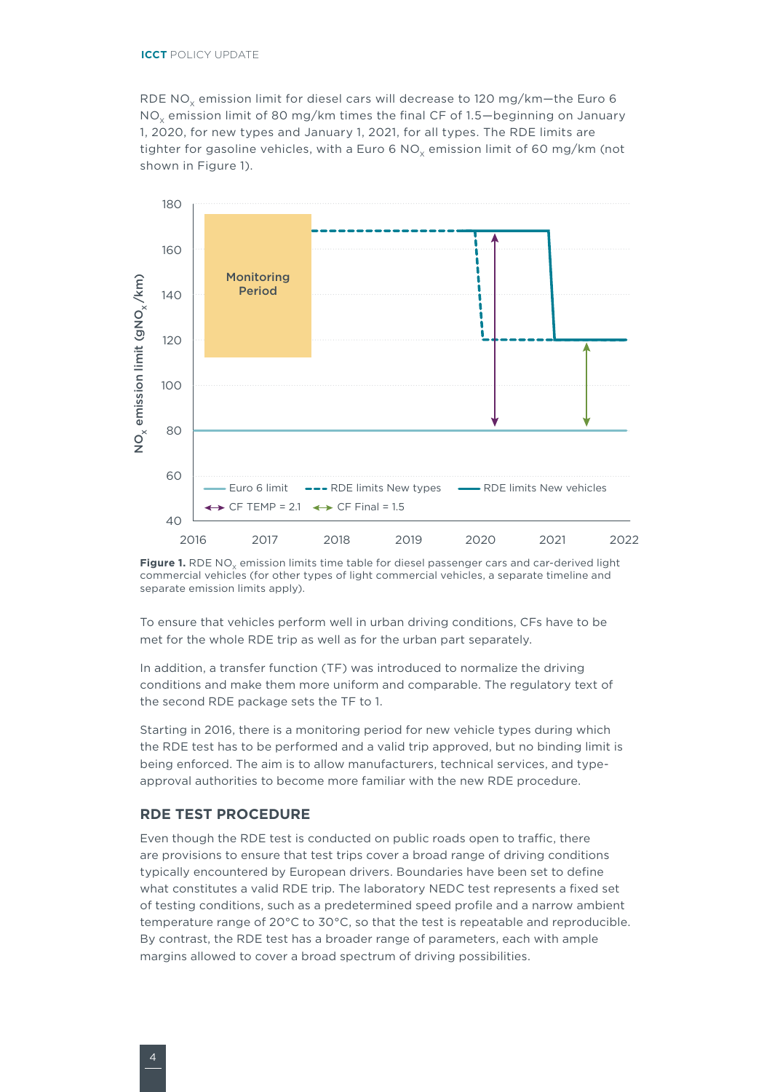RDE NO<sub>x</sub> emission limit for diesel cars will decrease to 120 mg/km-the Euro 6 NO<sub>v</sub> emission limit of 80 mg/km times the final CF of 1.5—beginning on January 1, 2020, for new types and January 1, 2021, for all types. The RDE limits are tighter for gasoline vehicles, with a Euro 6 NO<sub>y</sub> emission limit of 60 mg/km (not shown in [Figure](#page-3-0) 1).



<span id="page-3-0"></span>Figure 1. RDE NO<sub>v</sub> emission limits time table for diesel passenger cars and car-derived light commercial vehicles (for other types of light commercial vehicles, a separate timeline and separate emission limits apply).

To ensure that vehicles perform well in urban driving conditions, CFs have to be met for the whole RDE trip as well as for the urban part separately.

In addition, a transfer function (TF) was introduced to normalize the driving conditions and make them more uniform and comparable. The regulatory text of the second RDE package sets the TF to 1.

Starting in 2016, there is a monitoring period for new vehicle types during which the RDE test has to be performed and a valid trip approved, but no binding limit is being enforced. The aim is to allow manufacturers, technical services, and typeapproval authorities to become more familiar with the new RDE procedure.

#### **RDE TEST PROCEDURE**

Even though the RDE test is conducted on public roads open to traffic, there are provisions to ensure that test trips cover a broad range of driving conditions typically encountered by European drivers. Boundaries have been set to define what constitutes a valid RDE trip. The laboratory NEDC test represents a fixed set of testing conditions, such as a predetermined speed profile and a narrow ambient temperature range of 20°C to 30°C, so that the test is repeatable and reproducible. By contrast, the RDE test has a broader range of parameters, each with ample margins allowed to cover a broad spectrum of driving possibilities.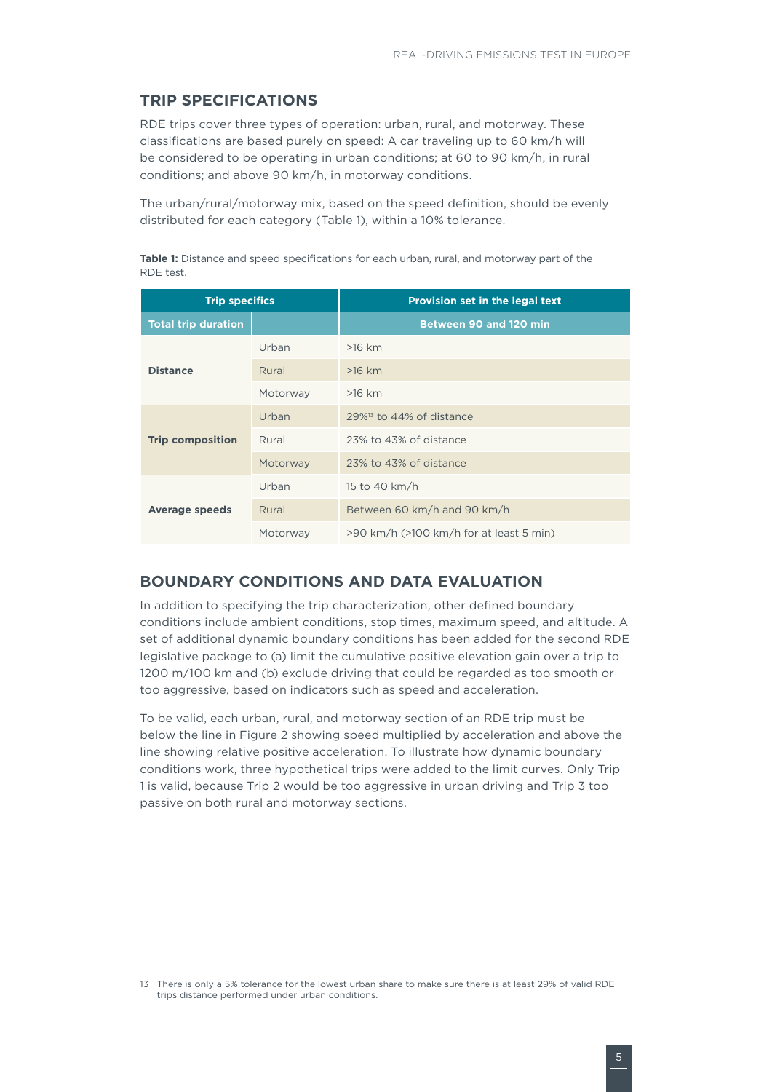#### **TRIP SPECIFICATIONS**

RDE trips cover three types of operation: urban, rural, and motorway. These classifications are based purely on speed: A car traveling up to 60 km/h will be considered to be operating in urban conditions; at 60 to 90 km/h, in rural conditions; and above 90 km/h, in motorway conditions.

The urban/rural/motorway mix, based on the speed definition, should be evenly distributed for each category (Table 1), within a 10% tolerance.

**Table 1:** Distance and speed specifications for each urban, rural, and motorway part of the RDE test.

| <b>Trip specifics</b>      |          | Provision set in the legal text              |
|----------------------------|----------|----------------------------------------------|
| <b>Total trip duration</b> |          | <b>Between 90 and 120 min</b>                |
| <b>Distance</b>            | Urban    | $>16$ km                                     |
|                            | Rural    | $>16$ km                                     |
|                            | Motorway | $>16$ km                                     |
| <b>Trip composition</b>    | Urban    | $29\%$ <sup>13</sup> to 44% of distance      |
|                            | Rural    | 23% to 43% of distance                       |
|                            | Motorway | 23% to 43% of distance                       |
| <b>Average speeds</b>      | Urban    | 15 to 40 km/h                                |
|                            | Rural    | Between 60 km/h and 90 km/h                  |
|                            | Motorway | $>90$ km/h ( $>100$ km/h for at least 5 min) |

#### **BOUNDARY CONDITIONS AND DATA EVALUATION**

In addition to specifying the trip characterization, other defined boundary conditions include ambient conditions, stop times, maximum speed, and altitude. A set of additional dynamic boundary conditions has been added for the second RDE legislative package to (a) limit the cumulative positive elevation gain over a trip to 1200 m/100 km and (b) exclude driving that could be regarded as too smooth or too aggressive, based on indicators such as speed and acceleration.

To be valid, each urban, rural, and motorway section of an RDE trip must be below the line in Figure 2 showing speed multiplied by acceleration and above the line showing relative positive acceleration. To illustrate how dynamic boundary conditions work, three hypothetical trips were added to the limit curves. Only Trip 1 is valid, because Trip 2 would be too aggressive in urban driving and Trip 3 too passive on both rural and motorway sections.

<sup>13</sup> There is only a 5% tolerance for the lowest urban share to make sure there is at least 29% of valid RDE trips distance performed under urban conditions.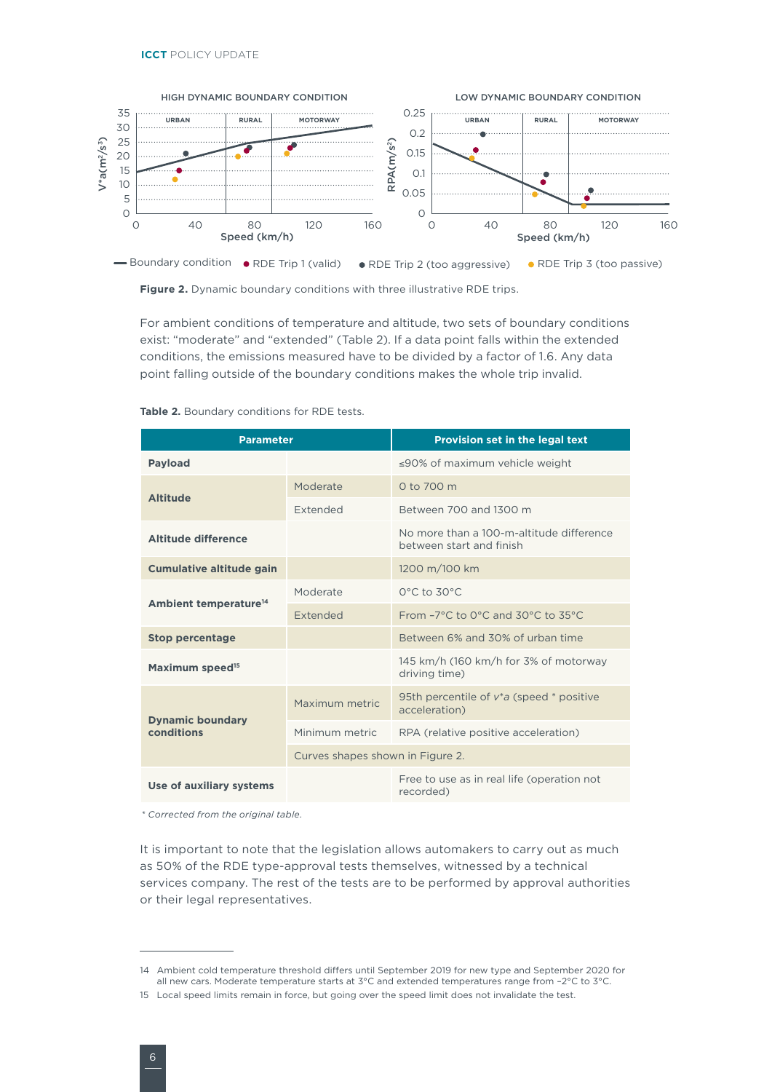

**Figure 2.** Dynamic boundary conditions with three illustrative RDE trips.

For ambient conditions of temperature and altitude, two sets of boundary conditions exist: "moderate" and "extended" (Table 2). If a data point falls within the extended conditions, the emissions measured have to be divided by a factor of 1.6. Any data point falling outside of the boundary conditions makes the whole trip invalid.

| <b>Parameter</b>                  |                                  | Provision set in the legal text                                              |
|-----------------------------------|----------------------------------|------------------------------------------------------------------------------|
| <b>Payload</b>                    |                                  | $\leq$ 90% of maximum vehicle weight                                         |
| <b>Altitude</b>                   | Moderate                         | 0 to 700 m                                                                   |
|                                   | <b>Extended</b>                  | Between 700 and 1300 m                                                       |
| Altitude difference               |                                  | No more than a 100-m-altitude difference<br>between start and finish         |
| <b>Cumulative altitude gain</b>   |                                  | 1200 m/100 km                                                                |
|                                   | Moderate                         | $0^{\circ}$ C to $30^{\circ}$ C                                              |
| Ambient temperature <sup>14</sup> | <b>Extended</b>                  | From $-7^{\circ}$ C to 0 $^{\circ}$ C and 30 $^{\circ}$ C to 35 $^{\circ}$ C |
| <b>Stop percentage</b>            |                                  | Between 6% and 30% of urban time                                             |
| Maximum speed <sup>15</sup>       |                                  | 145 km/h (160 km/h for 3% of motorway<br>driving time)                       |
| <b>Dynamic boundary</b>           | Maximum metric                   | 95th percentile of $v^*a$ (speed $*$ positive<br>acceleration)               |
| conditions                        | Minimum metric                   | RPA (relative positive acceleration)                                         |
|                                   | Curves shapes shown in Figure 2. |                                                                              |
| Use of auxiliary systems          |                                  | Free to use as in real life (operation not<br>recorded)                      |

**Table 2.** Boundary conditions for RDE tests.

*\* Corrected from the original table.*

It is important to note that the legislation allows automakers to carry out as much as 50% of the RDE type-approval tests themselves, witnessed by a technical services company. The rest of the tests are to be performed by approval authorities or their legal representatives.

<sup>14</sup> Ambient cold temperature threshold differs until September 2019 for new type and September 2020 for all new cars. Moderate temperature starts at 3°C and extended temperatures range from –2°C to 3°C.

<sup>15</sup> Local speed limits remain in force, but going over the speed limit does not invalidate the test.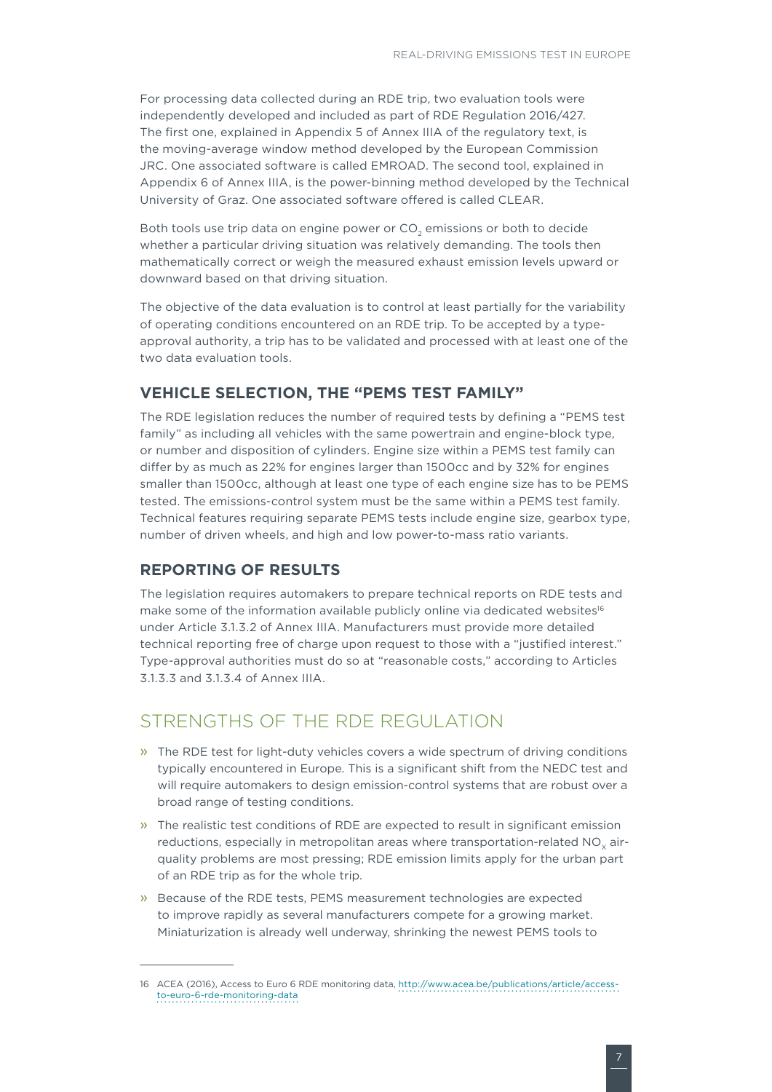For processing data collected during an RDE trip, two evaluation tools were independently developed and included as part of RDE Regulation 2016/427. The first one, explained in Appendix 5 of Annex IIIA of the regulatory text, is the moving-average window method developed by the European Commission JRC. One associated software is called EMROAD. The second tool, explained in Appendix 6 of Annex IIIA, is the power-binning method developed by the Technical University of Graz. One associated software offered is called CLEAR.

Both tools use trip data on engine power or CO<sub>2</sub> emissions or both to decide whether a particular driving situation was relatively demanding. The tools then mathematically correct or weigh the measured exhaust emission levels upward or downward based on that driving situation.

The objective of the data evaluation is to control at least partially for the variability of operating conditions encountered on an RDE trip. To be accepted by a typeapproval authority, a trip has to be validated and processed with at least one of the two data evaluation tools.

#### **VEHICLE SELECTION, THE "PEMS TEST FAMILY"**

The RDE legislation reduces the number of required tests by defining a "PEMS test family" as including all vehicles with the same powertrain and engine-block type, or number and disposition of cylinders. Engine size within a PEMS test family can differ by as much as 22% for engines larger than 1500cc and by 32% for engines smaller than 1500cc, although at least one type of each engine size has to be PEMS tested. The emissions-control system must be the same within a PEMS test family. Technical features requiring separate PEMS tests include engine size, gearbox type, number of driven wheels, and high and low power-to-mass ratio variants.

#### **REPORTING OF RESULTS**

The legislation requires automakers to prepare technical reports on RDE tests and make some of the information available publicly online via dedicated websites<sup>16</sup> under Article 3.1.3.2 of Annex IIIA. Manufacturers must provide more detailed technical reporting free of charge upon request to those with a "justified interest." Type-approval authorities must do so at "reasonable costs," according to Articles 3.1.3.3 and 3.1.3.4 of Annex IIIA.

## STRENGTHS OF THE RDE REGULATION

- » The RDE test for light-duty vehicles covers a wide spectrum of driving conditions typically encountered in Europe. This is a significant shift from the NEDC test and will require automakers to design emission-control systems that are robust over a broad range of testing conditions.
- » The realistic test conditions of RDE are expected to result in significant emission reductions, especially in metropolitan areas where transportation-related  $NO<sub>x</sub>$  airquality problems are most pressing; RDE emission limits apply for the urban part of an RDE trip as for the whole trip.
- » Because of the RDE tests, PEMS measurement technologies are expected to improve rapidly as several manufacturers compete for a growing market. Miniaturization is already well underway, shrinking the newest PEMS tools to

<sup>16</sup> ACEA (2016), Access to Euro 6 RDE monitoring data, [http://www.acea.be/publications/article/access](http://www.acea.be/publications/article/access-to-euro-6-rde-monitoring-data)[to-euro-6-rde-monitoring-data](http://www.acea.be/publications/article/access-to-euro-6-rde-monitoring-data)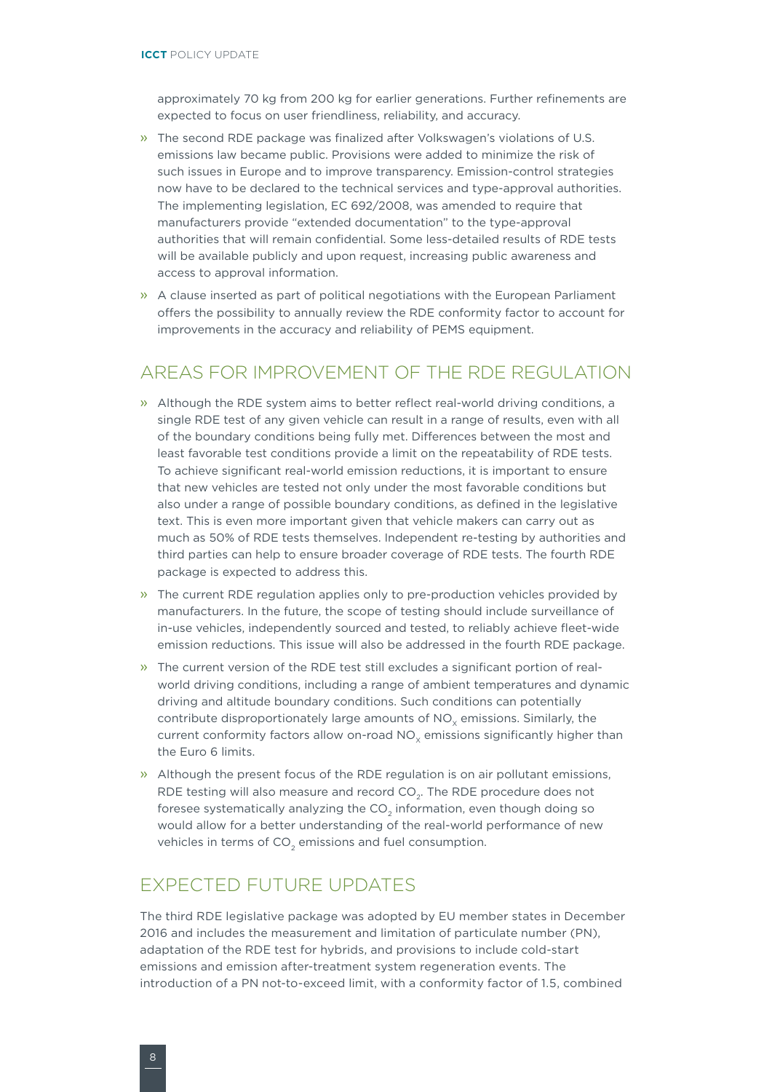approximately 70 kg from 200 kg for earlier generations. Further refinements are expected to focus on user friendliness, reliability, and accuracy.

- » The second RDE package was finalized after Volkswagen's violations of U.S. emissions law became public. Provisions were added to minimize the risk of such issues in Europe and to improve transparency. Emission-control strategies now have to be declared to the technical services and type-approval authorities. The implementing legislation, EC 692/2008, was amended to require that manufacturers provide "extended documentation" to the type-approval authorities that will remain confidential. Some less-detailed results of RDE tests will be available publicly and upon request, increasing public awareness and access to approval information.
- » A clause inserted as part of political negotiations with the European Parliament offers the possibility to annually review the RDE conformity factor to account for improvements in the accuracy and reliability of PEMS equipment.

## AREAS FOR IMPROVEMENT OF THE RDE REGULATION

- » Although the RDE system aims to better reflect real-world driving conditions, a single RDE test of any given vehicle can result in a range of results, even with all of the boundary conditions being fully met. Differences between the most and least favorable test conditions provide a limit on the repeatability of RDE tests. To achieve significant real-world emission reductions, it is important to ensure that new vehicles are tested not only under the most favorable conditions but also under a range of possible boundary conditions, as defined in the legislative text. This is even more important given that vehicle makers can carry out as much as 50% of RDE tests themselves. Independent re-testing by authorities and third parties can help to ensure broader coverage of RDE tests. The fourth RDE package is expected to address this.
- » The current RDE regulation applies only to pre-production vehicles provided by manufacturers. In the future, the scope of testing should include surveillance of in-use vehicles, independently sourced and tested, to reliably achieve fleet-wide emission reductions. This issue will also be addressed in the fourth RDE package.
- » The current version of the RDE test still excludes a significant portion of realworld driving conditions, including a range of ambient temperatures and dynamic driving and altitude boundary conditions. Such conditions can potentially contribute disproportionately large amounts of NO<sub>v</sub> emissions. Similarly, the current conformity factors allow on-road NO<sub>v</sub> emissions significantly higher than the Euro 6 limits.
- » Although the present focus of the RDE regulation is on air pollutant emissions, RDE testing will also measure and record CO<sub>2</sub>. The RDE procedure does not foresee systematically analyzing the  $CO<sub>2</sub>$  information, even though doing so would allow for a better understanding of the real-world performance of new vehicles in terms of  $CO<sub>2</sub>$  emissions and fuel consumption.

## EXPECTED FUTURE UPDATES

The third RDE legislative package was adopted by EU member states in December 2016 and includes the measurement and limitation of particulate number (PN), adaptation of the RDE test for hybrids, and provisions to include cold-start emissions and emission after-treatment system regeneration events. The introduction of a PN not-to-exceed limit, with a conformity factor of 1.5, combined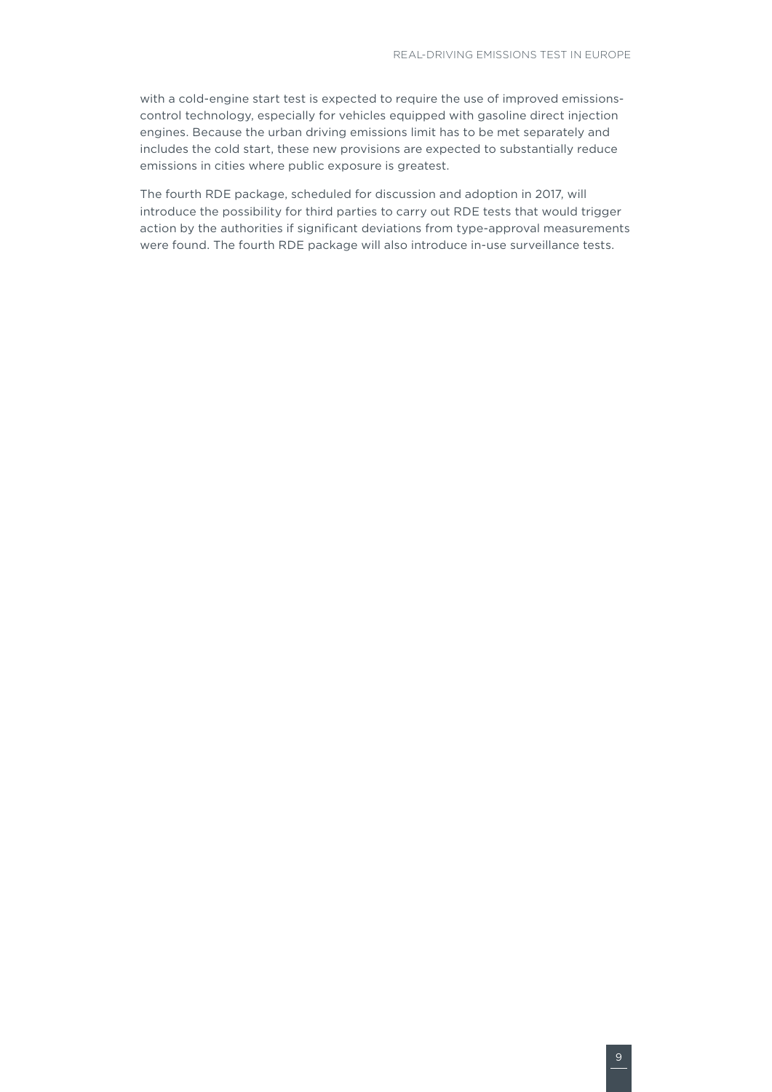with a cold-engine start test is expected to require the use of improved emissionscontrol technology, especially for vehicles equipped with gasoline direct injection engines. Because the urban driving emissions limit has to be met separately and includes the cold start, these new provisions are expected to substantially reduce emissions in cities where public exposure is greatest.

The fourth RDE package, scheduled for discussion and adoption in 2017, will introduce the possibility for third parties to carry out RDE tests that would trigger action by the authorities if significant deviations from type-approval measurements were found. The fourth RDE package will also introduce in-use surveillance tests.